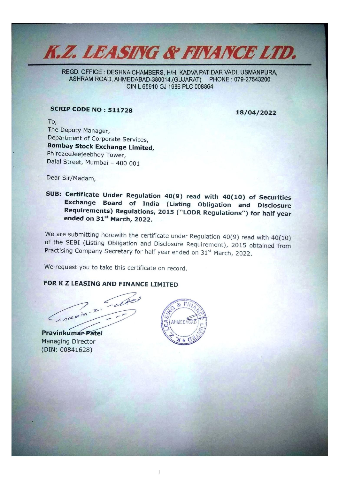

REGD. OFFICE : DESHNA CHAMBERS, H/H. KADVA PATIDAR VADI, USMANPURA, ASHRAM ROAD, AHMEDABAD-380014.(GUJARAT) PHONE: 079-27543200 CIN L 65910 GJ 1986 PLC 008864

## SCRIP CODE NO : 511728 18/04/2022

iia Cathe Fie.

2 To, The Deputy Manager,<br>Department of Corporate Services, Department of Corporate Services,<br> **Bombay Stock Exchange Limited,**<br>
PhirozeeJeejeebhoy Tower,<br>
Dalal Street, Mumbai – 400 001

Dear Sir/Madam,

Deal Street, Mumbai - 400 001<br>
Dear Sir/Madam,<br> **SUB: Certificate Under Regulation 4:**<br> **Exchange Board of India (Requirements) Regulations, 201<br>
ended on 31<sup>:4</sup> March, 2022.<br>
We are submitting herewith the certificate<br>
o** SUB: Certificate Under Regulation 40(9) read with 40(10) of Securities<br>Exchange Board of India (Listing Obligation and Disclosure<br>Requirements) Regulations, 2015 ("LODR Regulations") for half year<br>ended on  $31^{st}$  March,

We are submitting herewith the certificate under Regulation 40(9) read with 40(10) of the SEBI (Listing Obligation and Disclosure Requirement), 2015 obtained from Practising Company Secretary for half year ended on  $31$ 

We request you to take this certificate on record.

### FOR K Z LEASING AND FINANCE LIMITED

Managing Director (DIN: 00841628)